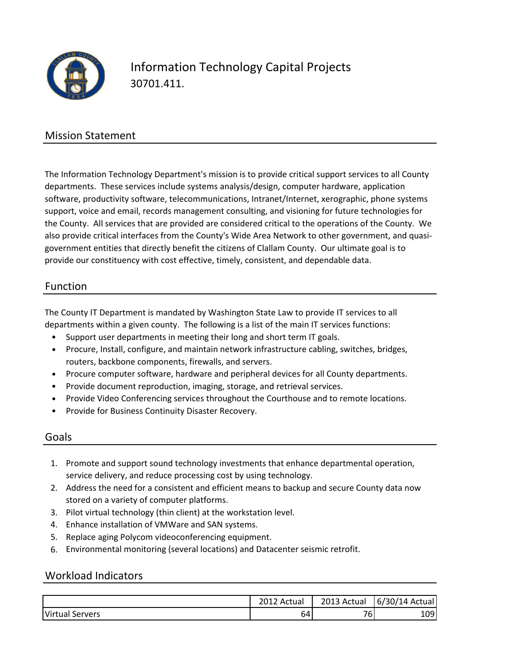

# Information Technology Capital Projects 30701.411.

### Mission Statement

The Information Technology Department's mission is to provide critical support services to all County departments. These services include systems analysis/design, computer hardware, application software, productivity software, telecommunications, Intranet/Internet, xerographic, phone systems support, voice and email, records management consulting, and visioning for future technologies for the County. All services that are provided are considered critical to the operations of the County. We also provide critical interfaces from the County's Wide Area Network to other government, and quasigovernment entities that directly benefit the citizens of Clallam County. Our ultimate goal is to provide our constituency with cost effective, timely, consistent, and dependable data.

#### Function

The County IT Department is mandated by Washington State Law to provide IT services to all departments within a given county. The following is a list of the main IT services functions:

- Support user departments in meeting their long and short term IT goals.
- Procure, Install, configure, and maintain network infrastructure cabling, switches, bridges, routers, backbone components, firewalls, and servers.
- Procure computer software, hardware and peripheral devices for all County departments.
- Provide document reproduction, imaging, storage, and retrieval services.
- Provide Video Conferencing services throughout the Courthouse and to remote locations.
- Provide for Business Continuity Disaster Recovery.

#### Goals

- 1. Promote and support sound technology investments that enhance departmental operation, service delivery, and reduce processing cost by using technology.
- 2. Address the need for a consistent and efficient means to backup and secure County data now stored on a variety of computer platforms.
- 3. Pilot virtual technology (thin client) at the workstation level.
- 4. Enhance installation of VMWare and SAN systems.
- 5. Replace aging Polycom videoconferencing equipment.
- 6. Environmental monitoring (several locations) and Datacenter seismic retrofit.

#### Workload Indicators

|                    | າດ4.<br>Actua<br>$\mathbf{L}$ | 2013 Actual | 6/30/14<br>Actual |
|--------------------|-------------------------------|-------------|-------------------|
| Virtual<br>Servers | 64                            | 76.         | 109               |